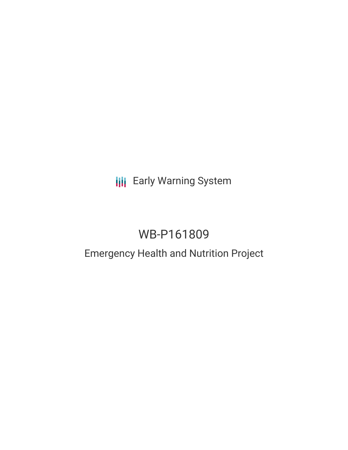**III** Early Warning System

# WB-P161809

# Emergency Health and Nutrition Project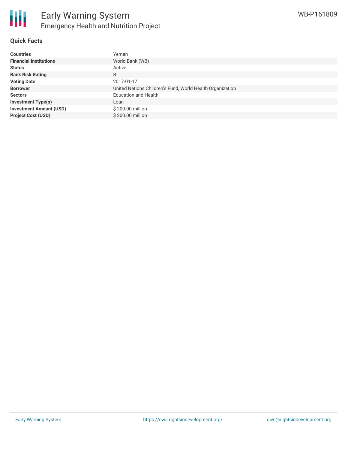

#### **Quick Facts**

| <b>Countries</b>               | Yemen                                                     |
|--------------------------------|-----------------------------------------------------------|
| <b>Financial Institutions</b>  | World Bank (WB)                                           |
| <b>Status</b>                  | Active                                                    |
| <b>Bank Risk Rating</b>        | B                                                         |
| <b>Voting Date</b>             | 2017-01-17                                                |
| <b>Borrower</b>                | United Nations Children's Fund, World Health Organization |
| <b>Sectors</b>                 | <b>Education and Health</b>                               |
| <b>Investment Type(s)</b>      | Loan                                                      |
| <b>Investment Amount (USD)</b> | \$200.00 million                                          |
| <b>Project Cost (USD)</b>      | \$200.00 million                                          |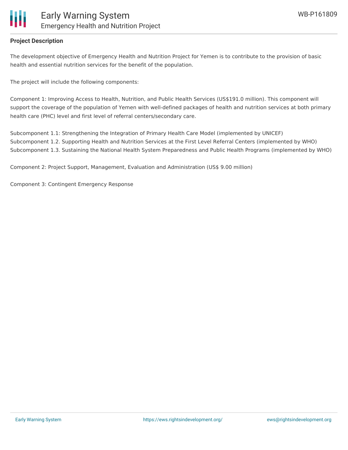

### **Project Description**

The development objective of Emergency Health and Nutrition Project for Yemen is to contribute to the provision of basic health and essential nutrition services for the benefit of the population.

The project will include the following components:

Component 1: Improving Access to Health, Nutrition, and Public Health Services (US\$191.0 million). This component will support the coverage of the population of Yemen with well-defined packages of health and nutrition services at both primary health care (PHC) level and first level of referral centers/secondary care.

Subcomponent 1.1: Strengthening the Integration of Primary Health Care Model (implemented by UNICEF) Subcomponent 1.2. Supporting Health and Nutrition Services at the First Level Referral Centers (implemented by WHO) Subcomponent 1.3. Sustaining the National Health System Preparedness and Public Health Programs (implemented by WHO)

Component 2: Project Support, Management, Evaluation and Administration (US\$ 9.00 million)

Component 3: Contingent Emergency Response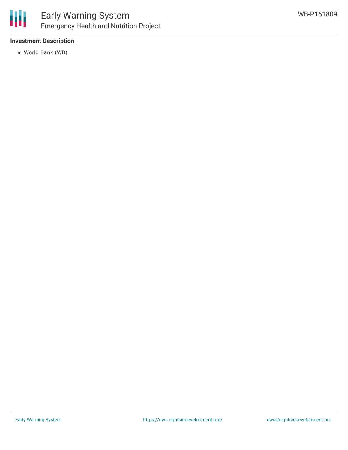

## Early Warning System Emergency Health and Nutrition Project

### **Investment Description**

World Bank (WB)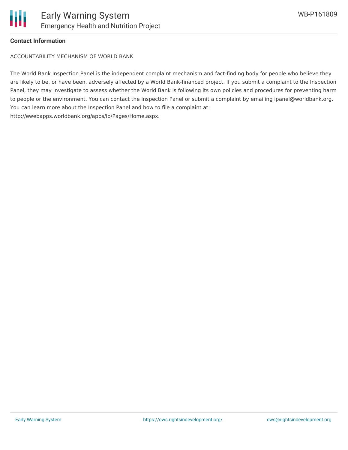### **Contact Information**

ACCOUNTABILITY MECHANISM OF WORLD BANK

The World Bank Inspection Panel is the independent complaint mechanism and fact-finding body for people who believe they are likely to be, or have been, adversely affected by a World Bank-financed project. If you submit a complaint to the Inspection Panel, they may investigate to assess whether the World Bank is following its own policies and procedures for preventing harm to people or the environment. You can contact the Inspection Panel or submit a complaint by emailing ipanel@worldbank.org. You can learn more about the Inspection Panel and how to file a complaint at: http://ewebapps.worldbank.org/apps/ip/Pages/Home.aspx.